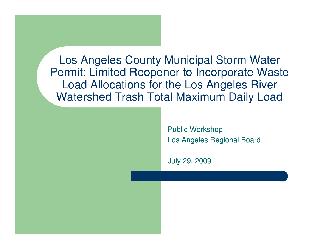Los Angeles County Municipal Storm Water Permit: Limited Reopener to Incorporate Waste Load Allocations for the Los Angeles River Watershed Trash Total Maximum Daily Load

> Public WorkshopLos Angeles Regional Board

July 29, 2009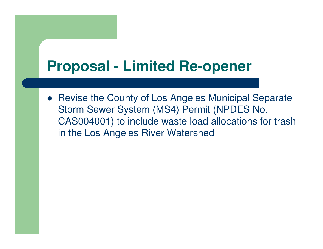### **Proposal - Limited Re-opener**

• Revise the County of Los Angeles Municipal Separate Storm Sewer System (MS4) Permit (NPDES No. CAS004001) to include waste load allocations for trash in the Los Angeles River Watershed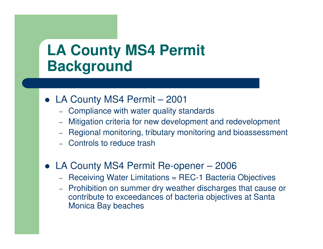### **LA County MS4 PermitBackground**

- LA County MS4 Permit <sup>2001</sup>
	- –Compliance with water quality standards
	- Mitigation criteria for new development and redevelopment –
	- Regional monitoring, tributary monitoring and bioassessment
	- Controls to reduce trash
- LA County MS4 Permit Re-opener <sup>2006</sup>
	- –- Receiving Water Limitations = REC-1 Bacteria Objectives
	- Prohibition on summer dry weather discharges that cause or –contribute to exceedances of bacteria objectives at Santa Monica Bay beaches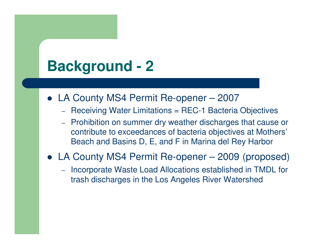## **Background - 2**

- LA County MS4 Permit Re-opener <sup>2007</sup>
	- Receiving Water Limitations = REC-1 Bacteria Objectives
	- –- Prohibition on summer dry weather discharges that cause or contribute to exceedances of bacteria objectives at Mothers'Beach and Basins D, E, and F in Marina del Rey Harbor
- LA County MS4 Permit Re-opener <sup>2009</sup> (proposed)
	- –- Incorporate Waste Load Allocations established in TMDL for trash discharges in the Los Angeles River Watershed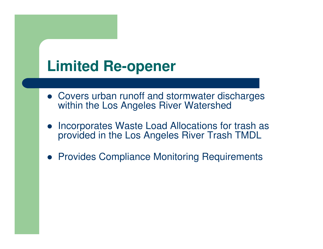## **Limited Re-opener**

- Covers urban runoff and stormwater discharges within the Los Angeles River Watershed
- $\bullet$  Incorporates Waste Load Allocations for trash as provided in the Los Angeles River Trash TMDL
- **Provides Compliance Monitoring Requirements**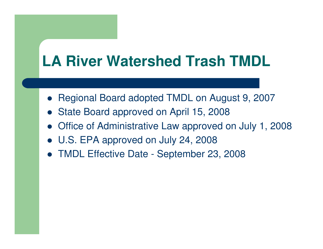## **LA River Watershed Trash TMDL**

- Regional Board adopted TMDL on August 9, 2007
- $\bullet$ State Board approved on April 15, 2008
- Office of Administrative Law approved on July 1, 2008
- U.S. EPA approved on July 24, 2008
- TMDL Effective Date September 23, 2008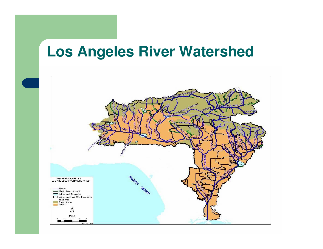### **Los Angeles River Watershed**

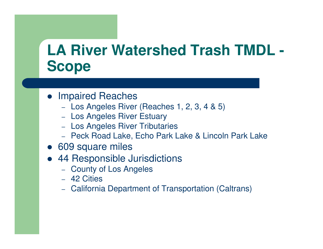### **LA River Watershed Trash TMDL -Scope**

- **Impaired Reaches** 
	- Los Angeles River (Reaches 1, 2, 3, 4 & 5)
	- Los Angeles River Estuary
	- Los Angeles River Tributaries
	- Peck Road Lake, Echo Park Lake & Lincoln Park Lake
- 609 square miles
- 44 Responsible Jurisdictions
	- County of Los Angeles
	- 42 Cities
	- California Department of Transportation (Caltrans)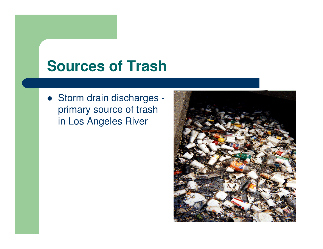### **Sources of Trash**

• Storm drain discharges primary source of trash in Los Angeles River

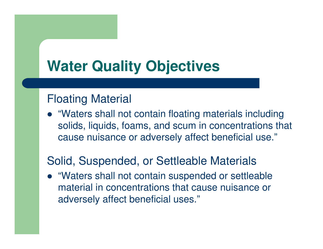## **Water Quality Objectives**

#### Floating Material

 "Waters shall not contain floating materials including solids, liquids, foams, and scum in concentrations that cause nuisance or adversely affect beneficial use."

#### Solid, Suspended, or Settleable Materials

 "Waters shall not contain suspended or settleable material in concentrations that cause nuisance or adversely affect beneficial uses."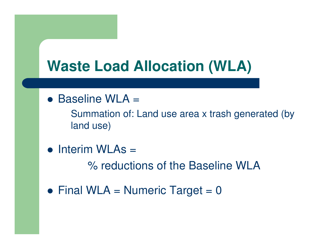## **Waste Load Allocation (WLA)**

● Baseline WLA =

Summation of: Land use area x trash generated (by land use)

• Interim WLAs =

% reductions of the Baseline WLA

• Final WLA = Numeric Target =  $0$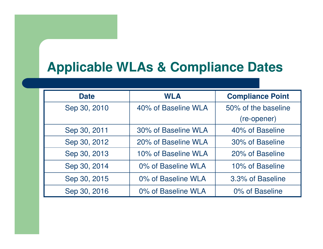### **Applicable WLAs & Compliance Dates**

| <b>Date</b>  | <b>WLA</b>          | <b>Compliance Point</b> |
|--------------|---------------------|-------------------------|
| Sep 30, 2010 | 40% of Baseline WLA | 50% of the baseline     |
|              |                     | (re-opener)             |
| Sep 30, 2011 | 30% of Baseline WLA | 40% of Baseline         |
| Sep 30, 2012 | 20% of Baseline WLA | 30% of Baseline         |
| Sep 30, 2013 | 10% of Baseline WLA | 20% of Baseline         |
| Sep 30, 2014 | 0% of Baseline WLA  | 10% of Baseline         |
| Sep 30, 2015 | 0% of Baseline WLA  | 3.3% of Baseline        |
| Sep 30, 2016 | 0% of Baseline WLA  | 0% of Baseline          |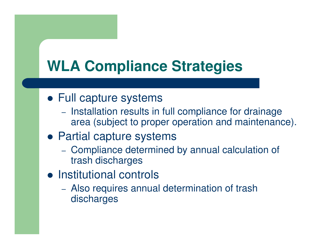# **WLA Compliance Strategies**

- Full capture systems
	- Installation results in full compliance for drainage area (subject to proper operation and maintenance).
- Partial capture systems
	- Compliance determined by annual calculation of trash discharges
- **•** Institutional controls
	- Also requires annual determination of trash discharges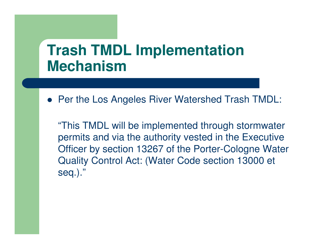### **Trash TMDL Implementation Mechanism**

**• Per the Los Angeles River Watershed Trash TMDL:** 

"This TMDL will be implemented through stormwater permits and via the authority vested in the Executive Officer by section 13267 of the Porter-Cologne Water Quality Control Act: (Water Code section 13000 et seq.)."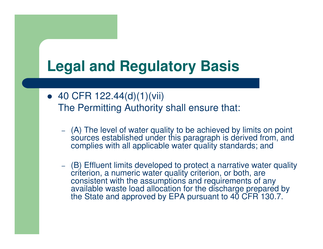## **Legal and Regulatory Basis**

- $\bullet$  40 CFR 122.44(d)(1)(vii) The Permitting Authority shall ensure that:
	- (A) The level of water quality to be achieved by limits on point sources established under this paragraph is derived from, and complies with all applicable water quality standards; and
	- (B) Effluent limits developed to protect a narrative water quality criterion, a numeric water quality criterion, or both, are consistent with the assumptions and requirements of any available waste load allocation for the discharge prepared by the State and approved by EPA pursuant to 40 CFR 130.7.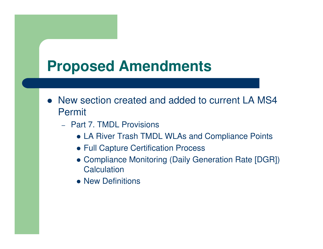## **Proposed Amendments**

- New section created and added to current LA MS4 Permit
	- –- Part 7. TMDL Provisions
		- LA River Trash TMDL WLAs and Compliance Points
		- **Full Capture Certification Process**
		- Compliance Monitoring (Daily Generation Rate [DGR]) **Calculation**
		- New Definitions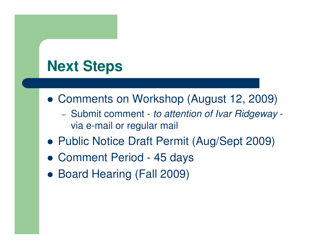## **Next Steps**

- Comments on Workshop (August 12, 2009)
	- Submit comment *to attention of Ivar Ridgeway* Subriil comment - *to attention or ivar Hidgeway* -<br>via e-mail or regular mail
- Public Notice Draft Permit (Aug/Sept 2009)
- Comment Period 45 days
- Board Hearing (Fall 2009)